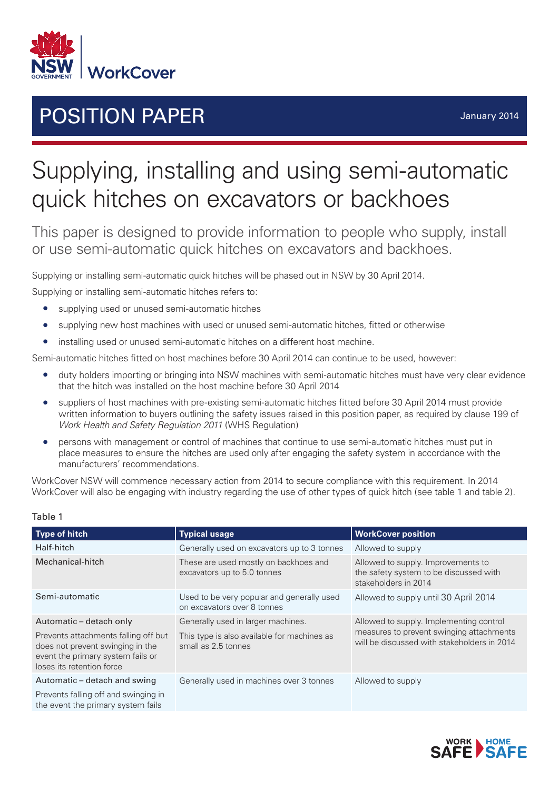

# **POSITION PAPER** *POSITION* **PAPER**

# Supplying, installing and using semi-automatic quick hitches on excavators or backhoes

This paper is designed to provide information to people who supply, install or use semi-automatic quick hitches on excavators and backhoes.

Supplying or installing semi-automatic quick hitches will be phased out in NSW by 30 April 2014.

Supplying or installing semi-automatic hitches refers to:

- supplying used or unused semi-automatic hitches
- supplying new host machines with used or unused semi-automatic hitches, fitted or otherwise
- installing used or unused semi-automatic hitches on a different host machine.

Semi-automatic hitches fitted on host machines before 30 April 2014 can continue to be used, however:

- duty holders importing or bringing into NSW machines with semi-automatic hitches must have very clear evidence that the hitch was installed on the host machine before 30 April 2014
- suppliers of host machines with pre-existing semi-automatic hitches fitted before 30 April 2014 must provide written information to buyers outlining the safety issues raised in this position paper, as required by clause 199 of *Work Health and Safety Regulation 2011* (WHS Regulation)
- persons with management or control of machines that continue to use semi-automatic hitches must put in place measures to ensure the hitches are used only after engaging the safety system in accordance with the manufacturers' recommendations.

WorkCover NSW will commence necessary action from 2014 to secure compliance with this requirement. In 2014 WorkCover will also be engaging with industry regarding the use of other types of quick hitch (see table 1 and table 2).

| <b>Type of hitch</b>                                                                                                                       | <b>Typical usage</b>                                                      | <b>WorkCover position</b>                                                                                                          |  |
|--------------------------------------------------------------------------------------------------------------------------------------------|---------------------------------------------------------------------------|------------------------------------------------------------------------------------------------------------------------------------|--|
| Half-hitch                                                                                                                                 | Generally used on excavators up to 3 tonnes                               | Allowed to supply                                                                                                                  |  |
| Mechanical-hitch                                                                                                                           | These are used mostly on backhoes and<br>excavators up to 5.0 tonnes      | Allowed to supply. Improvements to<br>the safety system to be discussed with<br>stakeholders in 2014                               |  |
| Semi-automatic                                                                                                                             | Used to be very popular and generally used<br>on excavators over 8 tonnes | Allowed to supply until 30 April 2014                                                                                              |  |
| Automatic - detach only                                                                                                                    | Generally used in larger machines.                                        | Allowed to supply. Implementing control<br>measures to prevent swinging attachments<br>will be discussed with stakeholders in 2014 |  |
| Prevents attachments falling off but<br>does not prevent swinging in the<br>event the primary system fails or<br>loses its retention force | This type is also available for machines as<br>small as 2.5 tonnes        |                                                                                                                                    |  |
| Automatic – detach and swing                                                                                                               | Generally used in machines over 3 tonnes                                  | Allowed to supply                                                                                                                  |  |
| Prevents falling off and swinging in<br>the event the primary system fails                                                                 |                                                                           |                                                                                                                                    |  |

#### Table 1

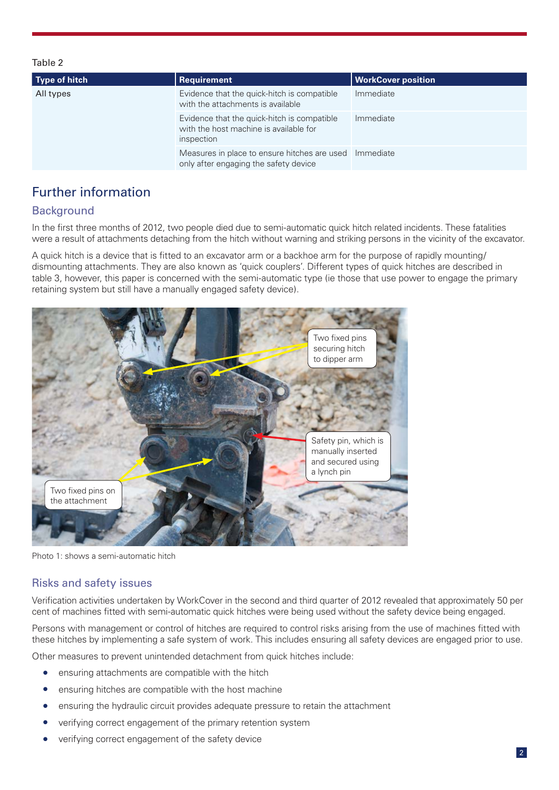#### Table 2

| <b>Type of hitch</b> | Requirement                                                                                         | <b>WorkCover position</b> |
|----------------------|-----------------------------------------------------------------------------------------------------|---------------------------|
| All types            | Evidence that the quick-hitch is compatible<br>with the attachments is available                    | Immediate                 |
|                      | Evidence that the quick-hitch is compatible<br>with the host machine is available for<br>inspection | Immediate                 |
|                      | Measures in place to ensure hitches are used Immediate<br>only after engaging the safety device     |                           |

# Further information

## **Background**

In the first three months of 2012, two people died due to semi-automatic quick hitch related incidents. These fatalities were a result of attachments detaching from the hitch without warning and striking persons in the vicinity of the excavator.

A quick hitch is a device that is fitted to an excavator arm or a backhoe arm for the purpose of rapidly mounting/ dismounting attachments. They are also known as 'quick couplers'. Different types of quick hitches are described in table 3, however, this paper is concerned with the semi-automatic type (ie those that use power to engage the primary retaining system but still have a manually engaged safety device).



Photo 1: shows a semi-automatic hitch

### Risks and safety issues

Verification activities undertaken by WorkCover in the second and third quarter of 2012 revealed that approximately 50 per cent of machines fitted with semi-automatic quick hitches were being used without the safety device being engaged.

Persons with management or control of hitches are required to control risks arising from the use of machines fitted with these hitches by implementing a safe system of work. This includes ensuring all safety devices are engaged prior to use.

Other measures to prevent unintended detachment from quick hitches include:

- ensuring attachments are compatible with the hitch
- ensuring hitches are compatible with the host machine
- ensuring the hydraulic circuit provides adequate pressure to retain the attachment
- verifying correct engagement of the primary retention system
- verifying correct engagement of the safety device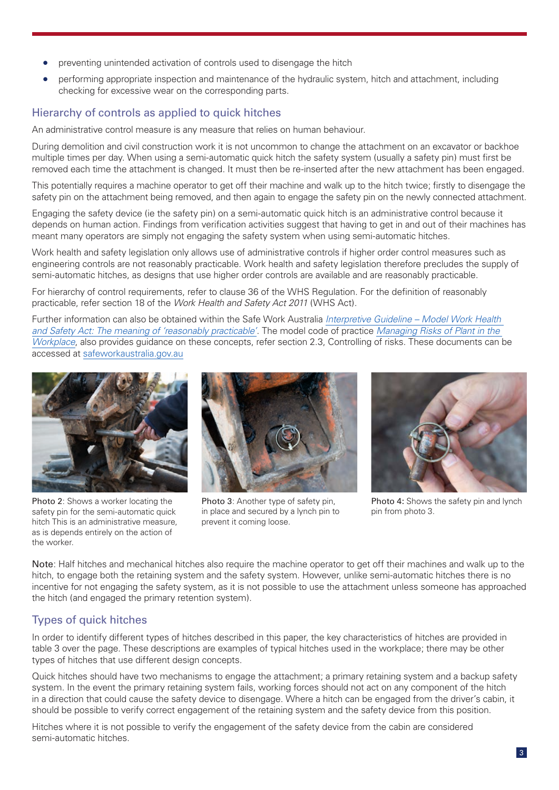- preventing unintended activation of controls used to disengage the hitch
- performing appropriate inspection and maintenance of the hydraulic system, hitch and attachment, including checking for excessive wear on the corresponding parts.

## Hierarchy of controls as applied to quick hitches

An administrative control measure is any measure that relies on human behaviour.

During demolition and civil construction work it is not uncommon to change the attachment on an excavator or backhoe multiple times per day. When using a semi-automatic quick hitch the safety system (usually a safety pin) must first be removed each time the attachment is changed. It must then be re-inserted after the new attachment has been engaged.

This potentially requires a machine operator to get off their machine and walk up to the hitch twice; firstly to disengage the safety pin on the attachment being removed, and then again to engage the safety pin on the newly connected attachment.

Engaging the safety device (ie the safety pin) on a semi-automatic quick hitch is an administrative control because it depends on human action. Findings from verification activities suggest that having to get in and out of their machines has meant many operators are simply not engaging the safety system when using semi-automatic hitches.

Work health and safety legislation only allows use of administrative controls if higher order control measures such as engineering controls are not reasonably practicable. Work health and safety legislation therefore precludes the supply of semi-automatic hitches, as designs that use higher order controls are available and are reasonably practicable.

For hierarchy of control requirements, refer to clause 36 of the WHS Regulation. For the definition of reasonably practicable, refer section 18 of the *Work Health and Safety Act 2011* (WHS Act).

Further information can also be obtained within the Safe Work Australia *[Interpretive Guideline – Model Work Health](http://www.safeworkaustralia.gov.au/sites/swa/about/Publications/Documents/607/Interpretive%20guideline%20-%20reasonably%20practicable.pdf)  [and Safety Act: The meaning of 'reasonably practicable'](http://www.safeworkaustralia.gov.au/sites/swa/about/Publications/Documents/607/Interpretive%20guideline%20-%20reasonably%20practicable.pdf)*. The model code of practice *[Managing Risks of Plant in the](http://www.safeworkaustralia.gov.au/sites/swa/about/publications/pages/managing-the-risks-of-plant-in-the-workplace)  [Workplace](http://www.safeworkaustralia.gov.au/sites/swa/about/publications/pages/managing-the-risks-of-plant-in-the-workplace)*, also provides guidance on these concepts, refer section 2.3, Controlling of risks. These documents can be accessed at [safeworkaustralia.gov.au](http://www.safeworkaustralia.gov.au)



Photo 2: Shows a worker locating the safety pin for the semi-automatic quick hitch This is an administrative measure, as is depends entirely on the action of the worker.



Photo 3: Another type of safety pin, in place and secured by a lynch pin to prevent it coming loose.



Photo 4: Shows the safety pin and lynch pin from photo 3.

Note: Half hitches and mechanical hitches also require the machine operator to get off their machines and walk up to the hitch, to engage both the retaining system and the safety system. However, unlike semi-automatic hitches there is no incentive for not engaging the safety system, as it is not possible to use the attachment unless someone has approached the hitch (and engaged the primary retention system).

# Types of quick hitches

In order to identify different types of hitches described in this paper, the key characteristics of hitches are provided in table 3 over the page. These descriptions are examples of typical hitches used in the workplace; there may be other types of hitches that use different design concepts.

Quick hitches should have two mechanisms to engage the attachment; a primary retaining system and a backup safety system. In the event the primary retaining system fails, working forces should not act on any component of the hitch in a direction that could cause the safety device to disengage. Where a hitch can be engaged from the driver's cabin, it should be possible to verify correct engagement of the retaining system and the safety device from this position.

Hitches where it is not possible to verify the engagement of the safety device from the cabin are considered semi-automatic hitches.